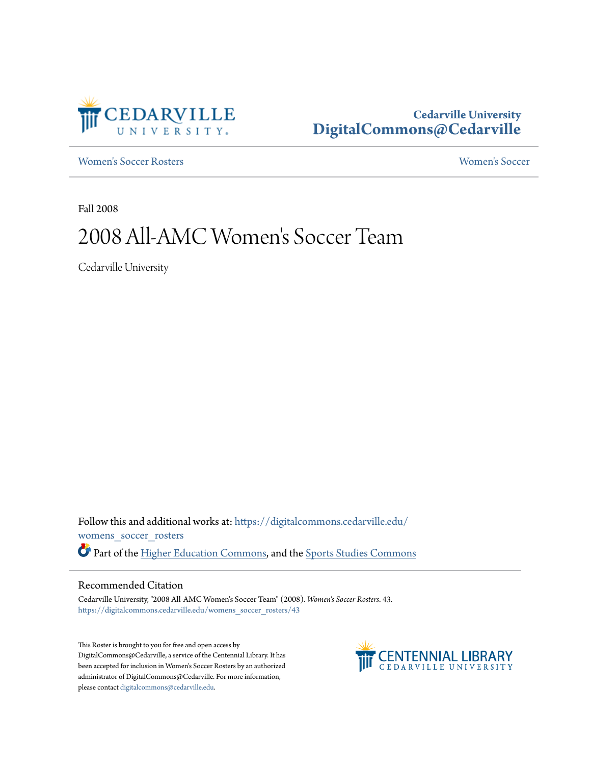

# **Cedarville University [DigitalCommons@Cedarville](https://digitalcommons.cedarville.edu?utm_source=digitalcommons.cedarville.edu%2Fwomens_soccer_rosters%2F43&utm_medium=PDF&utm_campaign=PDFCoverPages)**

[Women's Soccer Rosters](https://digitalcommons.cedarville.edu/womens_soccer_rosters?utm_source=digitalcommons.cedarville.edu%2Fwomens_soccer_rosters%2F43&utm_medium=PDF&utm_campaign=PDFCoverPages) [Women's Soccer](https://digitalcommons.cedarville.edu/womens_soccer?utm_source=digitalcommons.cedarville.edu%2Fwomens_soccer_rosters%2F43&utm_medium=PDF&utm_campaign=PDFCoverPages)

Fall 2008

# 2008 All-AMC Women 's Soccer Team

Cedarville University

Follow this and additional works at: [https://digitalcommons.cedarville.edu/](https://digitalcommons.cedarville.edu/womens_soccer_rosters?utm_source=digitalcommons.cedarville.edu%2Fwomens_soccer_rosters%2F43&utm_medium=PDF&utm_campaign=PDFCoverPages) [womens\\_soccer\\_rosters](https://digitalcommons.cedarville.edu/womens_soccer_rosters?utm_source=digitalcommons.cedarville.edu%2Fwomens_soccer_rosters%2F43&utm_medium=PDF&utm_campaign=PDFCoverPages) Part of the [Higher Education Commons](http://network.bepress.com/hgg/discipline/1245?utm_source=digitalcommons.cedarville.edu%2Fwomens_soccer_rosters%2F43&utm_medium=PDF&utm_campaign=PDFCoverPages), and the [Sports Studies Commons](http://network.bepress.com/hgg/discipline/1198?utm_source=digitalcommons.cedarville.edu%2Fwomens_soccer_rosters%2F43&utm_medium=PDF&utm_campaign=PDFCoverPages)

### Recommended Citation

Cedarville University, "2008 All-AMC Women's Soccer Team" (2008). *Women's Soccer Rosters*. 43. [https://digitalcommons.cedarville.edu/womens\\_soccer\\_rosters/43](https://digitalcommons.cedarville.edu/womens_soccer_rosters/43?utm_source=digitalcommons.cedarville.edu%2Fwomens_soccer_rosters%2F43&utm_medium=PDF&utm_campaign=PDFCoverPages)

This Roster is brought to you for free and open access by DigitalCommons@Cedarville, a service of the Centennial Library. It has been accepted for inclusion in Women's Soccer Rosters by an authorized administrator of DigitalCommons@Cedarville. For more information, please contact [digitalcommons@cedarville.edu.](mailto:digitalcommons@cedarville.edu)